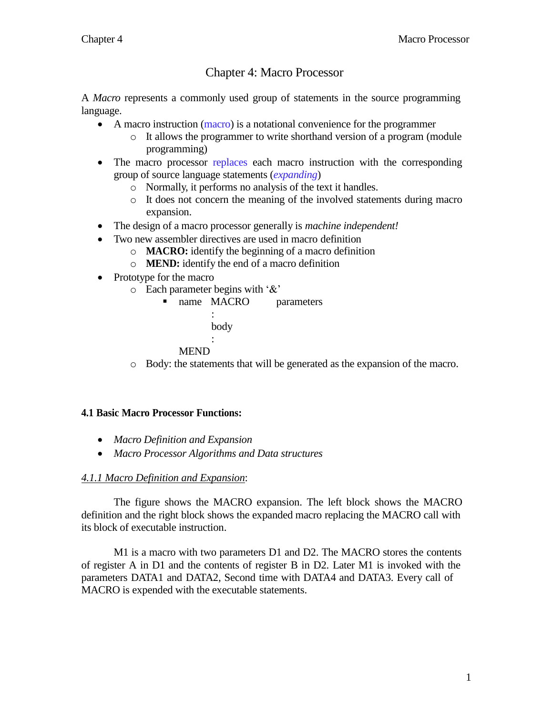# Chapter 4: Macro Processor

A *Macro* represents a commonly used group of statements in the source programming language.

- A macro instruction (macro) is a notational convenience for the programmer
	- o It allows the programmer to write shorthand version of a program (module programming)
- The macro processor replaces each macro instruction with the corresponding group of source language statements (*expanding*)
	- o Normally, it performs no analysis of the text it handles.
	- o It does not concern the meaning of the involved statements during macro expansion.
- The design of a macro processor generally is *machine independent!*
- Two new assembler directives are used in macro definition
	- o **MACRO:** identify the beginning of a macro definition
	- o **MEND:** identify the end of a macro definition
- Prototype for the macro
	- $\circ$  Each parameter begins with '&'
		- name MACRO parameters

: body

:

MEND

o Body: the statements that will be generated as the expansion of the macro.

### **4.1 Basic Macro Processor Functions:**

- *Macro Definition and Expansion*
- *Macro Processor Algorithms and Data structures*

### *4.1.1 Macro Definition and Expansion*:

The figure shows the MACRO expansion. The left block shows the MACRO definition and the right block shows the expanded macro replacing the MACRO call with its block of executable instruction.

M1 is a macro with two parameters D1 and D2. The MACRO stores the contents of register A in D1 and the contents of register B in D2. Later M1 is invoked with the parameters DATA1 and DATA2, Second time with DATA4 and DATA3. Every call of MACRO is expended with the executable statements.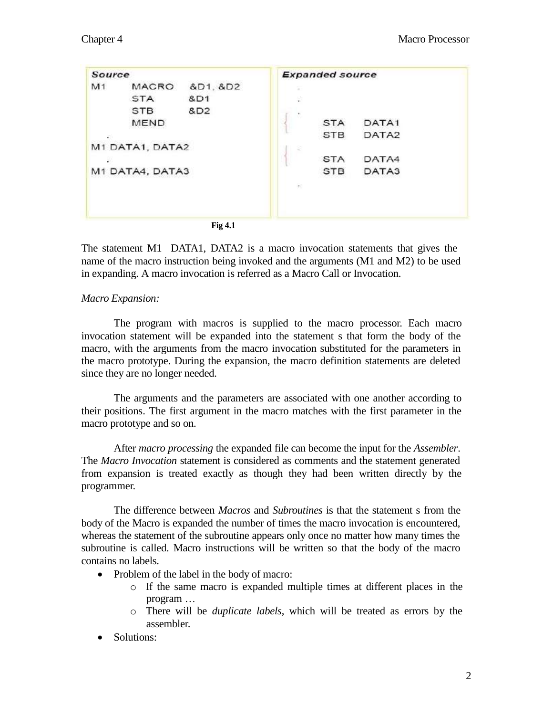| Source |                   | <b>Expanded source</b>          |
|--------|-------------------|---------------------------------|
| M1     | MACRO<br>&D1, &D2 | τ                               |
|        | 8D1<br><b>STA</b> | 값                               |
|        | &D2<br><b>STB</b> | v.                              |
|        | MEND              | <b>STA</b><br>DATA1             |
|        |                   | <b>STB</b><br>DATA <sub>2</sub> |
|        | M1 DATA1, DATA2   | æ                               |
|        |                   | <b>STA</b><br>DATA4             |
|        | M1 DATA4, DATA3   | <b>STB</b><br>DATA <sub>3</sub> |
|        |                   | $\mathcal{L}$                   |
|        |                   |                                 |
|        |                   |                                 |
|        | <b>Fig 4.1</b>    |                                 |

The statement M1 DATA1, DATA2 is a macro invocation statements that gives the name of the macro instruction being invoked and the arguments (M1 and M2) to be used in expanding. A macro invocation is referred as a Macro Call or Invocation.

# *Macro Expansion:*

The program with macros is supplied to the macro processor. Each macro invocation statement will be expanded into the statement s that form the body of the macro, with the arguments from the macro invocation substituted for the parameters in the macro prototype. During the expansion, the macro definition statements are deleted since they are no longer needed.

The arguments and the parameters are associated with one another according to their positions. The first argument in the macro matches with the first parameter in the macro prototype and so on.

After *macro processing* the expanded file can become the input for the *Assembler*. The *Macro Invocation* statement is considered as comments and the statement generated from expansion is treated exactly as though they had been written directly by the programmer.

The difference between *Macros* and *Subroutines* is that the statement s from the body of the Macro is expanded the number of times the macro invocation is encountered, whereas the statement of the subroutine appears only once no matter how many times the subroutine is called. Macro instructions will be written so that the body of the macro contains no labels.

- Problem of the label in the body of macro:
	- o If the same macro is expanded multiple times at different places in the program …
	- o There will be *duplicate labels*, which will be treated as errors by the assembler.
- Solutions: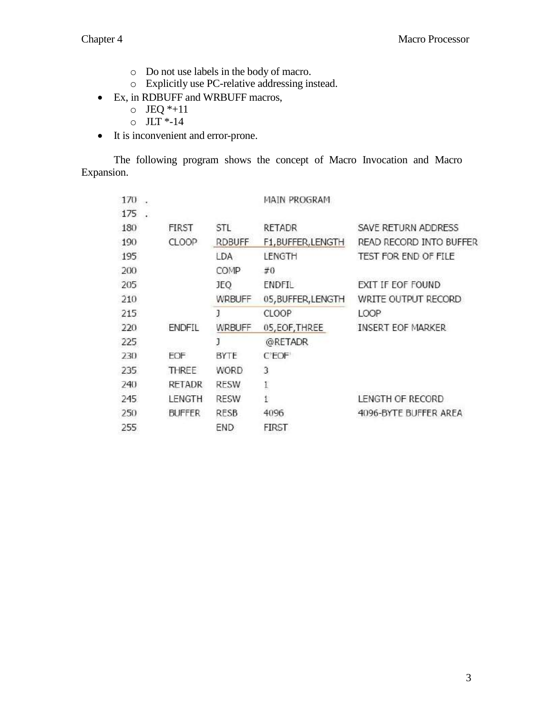- o Do not use labels in the body of macro.
- o Explicitly use PC-relative addressing instead.
- Ex, in RDBUFF and WRBUFF macros,
	- $O$  JEQ  $*+11$
	- $O$  JLT  $*$ -14
- It is inconvenient and error-prone.

The following program shows the concept of Macro Invocation and Macro Expansion.

| 170 |               |               | MAIN PROGRAM       |                          |
|-----|---------------|---------------|--------------------|--------------------------|
| 175 |               |               |                    |                          |
| 180 | FIRST         | STL           | RETADR             | SAVE RETURN ADDRESS      |
| 190 | <b>CLOOP</b>  | <b>RDBUFF</b> | F1, BUFFER, LENGTH | READ RECORD INTO BUFFER  |
| 195 |               | LDA           | LENGTH             | TEST FOR END OF FILE     |
| 200 |               | <b>COMP</b>   | #0                 |                          |
| 205 |               | JEO           | ENDFIL             | EXIT IF EOF FOUND        |
| 210 |               | WRBUFF        | 05, BUFFER, LENGTH | WRITE OUTPUT RECORD      |
| 215 |               |               | CLOOP              | LOOP                     |
| 220 | <b>ENDFIL</b> | WRBUFF        | 05, EOF, THREE     | <b>INSERT EOF MARKER</b> |
| 225 |               |               | @RETADR            |                          |
| 230 | <b>FOF</b>    | BYTE          | C'EOF'             |                          |
| 235 | <b>THREE</b>  | WORD          | 3                  |                          |
| 240 | <b>RETADR</b> | <b>RESW</b>   | I                  |                          |
| 245 | LENGTH        | <b>RESW</b>   | İ                  | LENGTH OF RECORD         |
| 250 | <b>BUFFER</b> | <b>RESB</b>   | 4096               | 4096-BYTE BUFFER AREA    |
| 255 |               | END           | <b>FIRST</b>       |                          |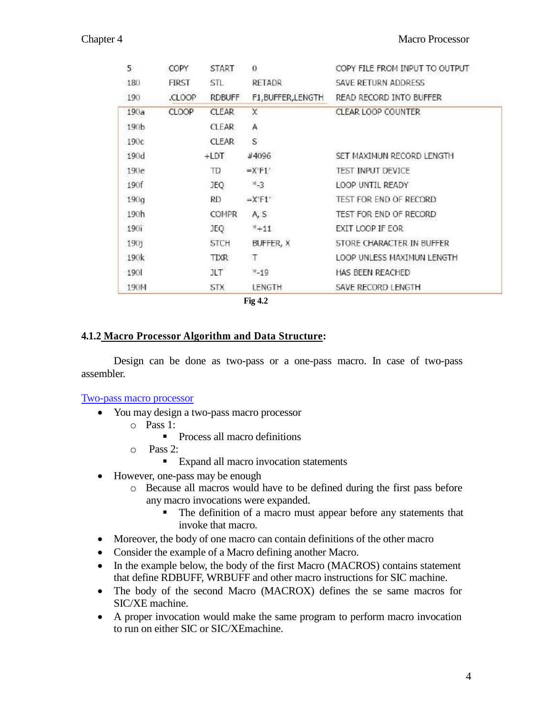| 5    | COPY         | <b>START</b> | 0                                 | COPY FILE FROM INPUT TO OUTPUT |
|------|--------------|--------------|-----------------------------------|--------------------------------|
| 180  | <b>FIRST</b> | STL          | RETADR                            | <b>SAVE RETURN ADDRESS</b>     |
| 190  | CLOOP.       | RDBUFF       | F1,BUFFER,LENGTH                  | READ RECORD INTO BUFFER        |
| 190a | <b>CLOOP</b> | <b>CLEAR</b> | X                                 | <b>CLEAR LOOP COUNTER</b>      |
| 190b |              | <b>CLEAR</b> | A                                 |                                |
| 190с |              | <b>CLEAR</b> | s                                 |                                |
| 190d |              | $+LDT$       | #4096                             | SET MAXIMUN RECORD LENGTH      |
| 190e |              | TD           | $=X$ F1                           | <b>TEST INPUT DEVICE</b>       |
| 190f |              | JEQ.         | $*3$                              | LOOP UNTIL READY               |
| 190q |              | RD           | $=X$ <sup>*</sup> F1 <sup>*</sup> | TEST FOR END OF RECORD         |
| 190h |              | <b>COMPR</b> | A, S                              | TEST FOR END OF RECORD         |
| 190i |              | JEQ          | $*+11$                            | EXIT LOOP IF EOR               |
| 1901 |              | <b>STCH</b>  | BUFFER, X                         | STORE CHARACTER IN BUFFER      |
| 190k |              | <b>TIXR</b>  | $\top$                            | LOOP UNLESS MAXIMUN LENGTH     |
| 190  |              | JLT          | $* - 19$                          | HAS BEEN REACHED               |
| 190M |              | <b>STX</b>   | LENGTH                            | SAVE RECORD LENGTH             |

**Fig 4.2**

#### **4.1.2 Macro Processor Algorithm and Data Structure:**

Design can be done as two-pass or a one-pass macro. In case of two-pass assembler.

#### Two-pass macro processor

- You may design a two-pass macro processor
	- o Pass 1:
		- **Process all macro definitions**
	- o Pass 2:
		- Expand all macro invocation statements
- However, one-pass may be enough
	- o Because all macros would have to be defined during the first pass before any macro invocations were expanded.
		- The definition of a macro must appear before any statements that invoke that macro.
- Moreover, the body of one macro can contain definitions of the other macro
- Consider the example of a Macro defining another Macro.
- In the example below, the body of the first Macro (MACROS) contains statement that define RDBUFF, WRBUFF and other macro instructions for SIC machine.
- The body of the second Macro (MACROX) defines the se same macros for SIC/XE machine.
- A proper invocation would make the same program to perform macro invocation to run on either SIC or SIC/XEmachine.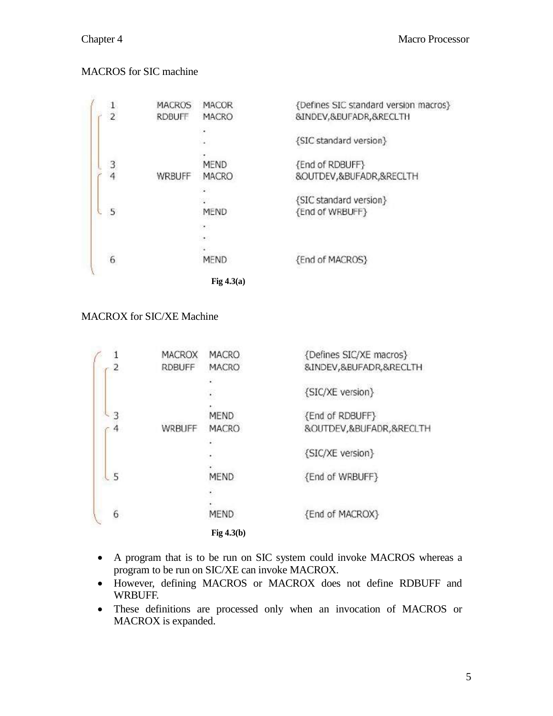# MACROS for SIC machine

|                 | <b>MACROS</b> | <b>MACOR</b>            | {Defines SIC standard version macros} |
|-----------------|---------------|-------------------------|---------------------------------------|
| $\overline{2}$  | <b>RDBUFF</b> | <b>MACRO</b>            | 8JNDEV, & BUFADR, & RECLTH            |
|                 |               | ٠                       |                                       |
|                 |               |                         | {SIC standard version}                |
|                 |               |                         |                                       |
|                 |               | <b>MEND</b>             | {End of RDBUFF}                       |
| $\frac{3}{4}$   | WRBUFF        | MACRO                   | &OUTDEV, & BUFADR, & RECLTH           |
|                 |               | $\sim$                  |                                       |
|                 |               | 가                       | {SIC standard version}                |
| 5               |               | MEND                    | {End of WRBUFF}                       |
|                 |               | D.                      |                                       |
|                 |               | $\langle \cdot \rangle$ |                                       |
|                 |               |                         |                                       |
| $6\overline{6}$ |               | <b>MEND</b>             | {End of MACROS}                       |
|                 |               | Fig $4.3(a)$            |                                       |

# MACROX for SIC/XE Machine

|                | <b>MACROX</b> | MACRO        | {Defines SIC/XE macros}    |
|----------------|---------------|--------------|----------------------------|
|                | RDBUFF        | MACRO        | &INDEV, & BUFADR, & RECLTH |
|                |               | k.           |                            |
|                |               | i.           | {SIC/XE version}           |
|                |               |              |                            |
|                |               | MEND         | {End of RDBUFF}            |
|                | WRBUFF        | <b>MACRO</b> | &OUTDEV, &BUFADR, &RECLTH  |
|                |               |              |                            |
|                |               |              | {SIC/XE version}           |
|                |               |              |                            |
| 5              |               | <b>MEND</b>  | {End of WRBUFF}            |
|                |               |              |                            |
|                |               |              |                            |
| $\overline{6}$ |               | <b>MEND</b>  | {End of MACROX}            |
|                |               | Fig $4.3(b)$ |                            |

- A program that is to be run on SIC system could invoke MACROS whereas a program to be run on SIC/XE can invoke MACROX.
- However, defining MACROS or MACROX does not define RDBUFF and WRBUFF.
- These definitions are processed only when an invocation of MACROS or MACROX is expanded.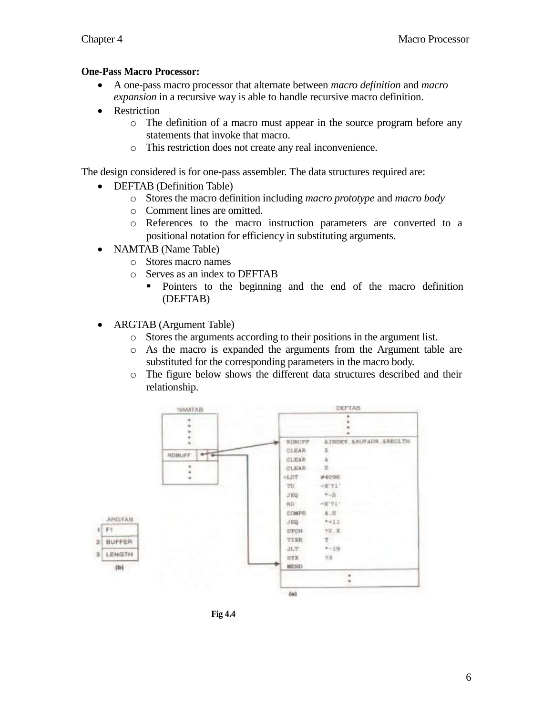## **One-Pass Macro Processor:**

- A one-pass macro processor that alternate between *macro definition* and *macro expansion* in a recursive way is able to handle recursive macro definition.
- Restriction
	- o The definition of a macro must appear in the source program before any statements that invoke that macro.
	- o This restriction does not create any real inconvenience.

The design considered is for one-pass assembler. The data structures required are:

- **DEFTAB** (Definition Table)
	- o Stores the macro definition including *macro prototype* and *macro body*
	- o Comment lines are omitted.
	- o References to the macro instruction parameters are converted to a positional notation for efficiency in substituting arguments.
- NAMTAB (Name Table)
	- o Stores macro names
	- o Serves as an index to DEFTAB
		- Pointers to the beginning and the end of the macro definition (DEFTAB)
- ARGTAB (Argument Table)
	- o Stores the arguments according to their positions in the argument list.
	- o As the macro is expanded the arguments from the Argument table are substituted for the corresponding parameters in the macro body.
	- o The figure below shows the different data structures described and their relationship.



**Fig 4.4**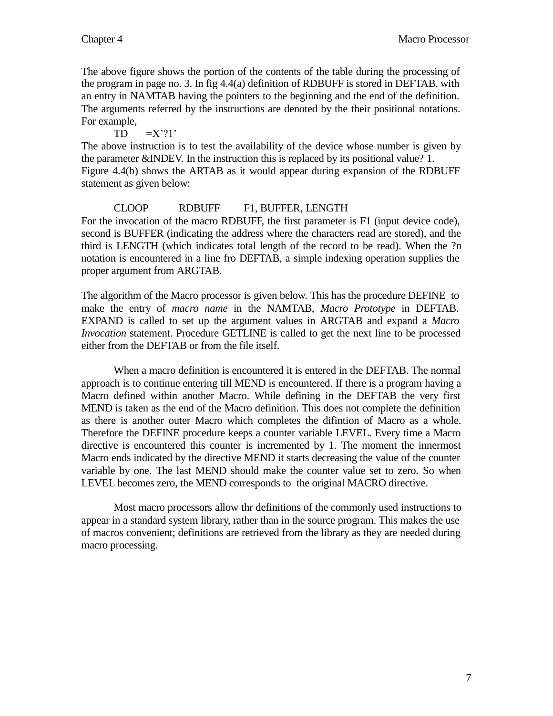The above figure shows the portion of the contents of the table during the processing of the program in page no. 3. In fig 4.4(a) definition of RDBUFF is stored in DEFTAB, with an entry in NAMTAB having the pointers to the beginning and the end of the definition. The arguments referred by the instructions are denoted by the their positional notations. For example,

 $TD = X'$ ?1'

The above instruction is to test the availability of the device whose number is given by the parameter &INDEV. In the instruction this is replaced by its positional value? 1. Figure 4.4(b) shows the ARTAB as it would appear during expansion of the RDBUFF statement as given below:

# CLOOP RDBUFF F1, BUFFER, LENGTH

For the invocation of the macro RDBUFF, the first parameter is F1 (input device code), second is BUFFER (indicating the address where the characters read are stored), and the third is LENGTH (which indicates total length of the record to be read). When the ?n notation is encountered in a line fro DEFTAB, a simple indexing operation supplies the proper argument from ARGTAB.

The algorithm of the Macro processor is given below. This has the procedure DEFINE to make the entry of *macro name* in the NAMTAB, *Macro Prototype* in DEFTAB. EXPAND is called to set up the argument values in ARGTAB and expand a *Macro Invocation* statement. Procedure GETLINE is called to get the next line to be processed either from the DEFTAB or from the file itself.

When a macro definition is encountered it is entered in the DEFTAB. The normal approach is to continue entering till MEND is encountered. If there is a program having a Macro defined within another Macro. While defining in the DEFTAB the very first MEND is taken as the end of the Macro definition. This does not complete the definition as there is another outer Macro which completes the difintion of Macro as a whole. Therefore the DEFINE procedure keeps a counter variable LEVEL. Every time a Macro directive is encountered this counter is incremented by 1. The moment the innermost Macro ends indicated by the directive MEND it starts decreasing the value of the counter variable by one. The last MEND should make the counter value set to zero. So when LEVEL becomes zero, the MEND corresponds to the original MACRO directive.

Most macro processors allow thr definitions of the commonly used instructions to appear in a standard system library, rather than in the source program. This makes the use of macros convenient; definitions are retrieved from the library as they are needed during macro processing.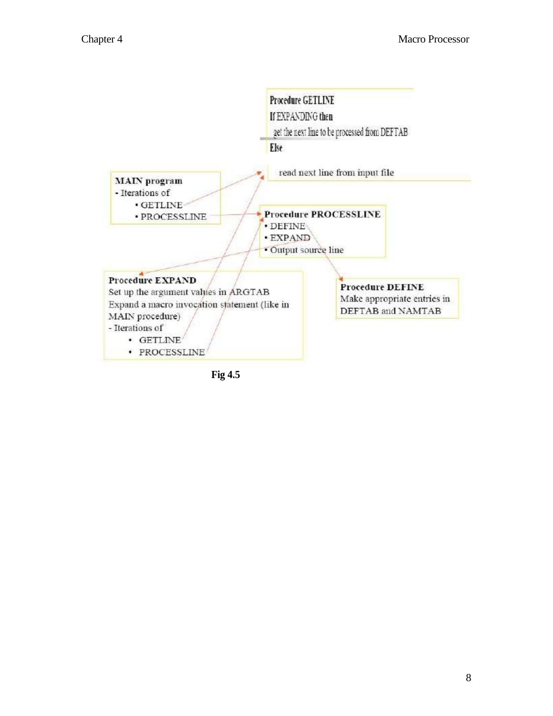

**Fig 4.5**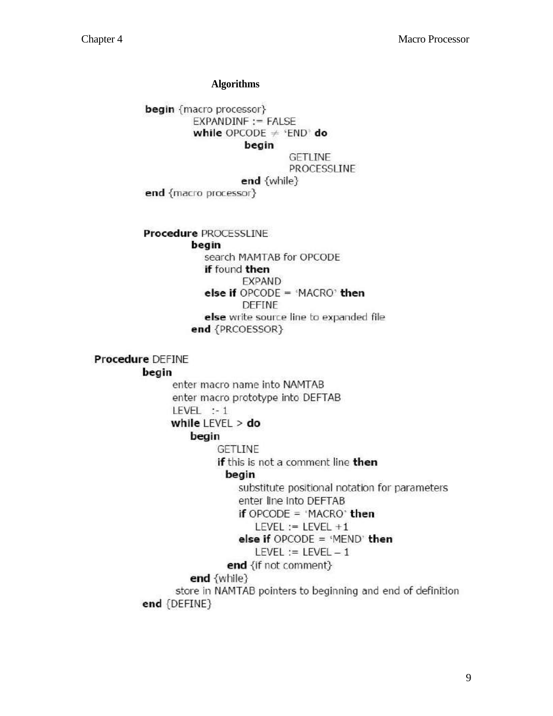#### **Algorithms**

begin {macro processor}  $EXPANDINE := FALSE$ while OPCODE  $\neq$  'END' do begin

**GETLINE** 

PROCESSLINE

```
end {while}
```
end {macro processor}

**Procedure PROCESSLINE** 

#### begin

search MAMTAB for OPCODE if found then **EXPAND** else if  $OPCODE = 'MACRO'$  then **DEFINE** else write source line to expanded file end {PRCOESSOR}

**Procedure DEFINE** 

## begin

enter macro name into NAMTAB enter macro prototype into DEFTAB LEVEL  $: -1$ while  $LEVEL >$  do begin **GETLINE** if this is not a comment line then begin substitute positional notation for parameters enter line into DEFTAB if OPCODE = 'MACRO' then LEVEL := LEVEL  $+1$ else if  $OPCODE = 'MEND'$  then  $LEVEL := LEVEL - 1$ end {if not comment} end  $\{while\}$ 

store in NAMTAB pointers to beginning and end of definition end {DEFINE}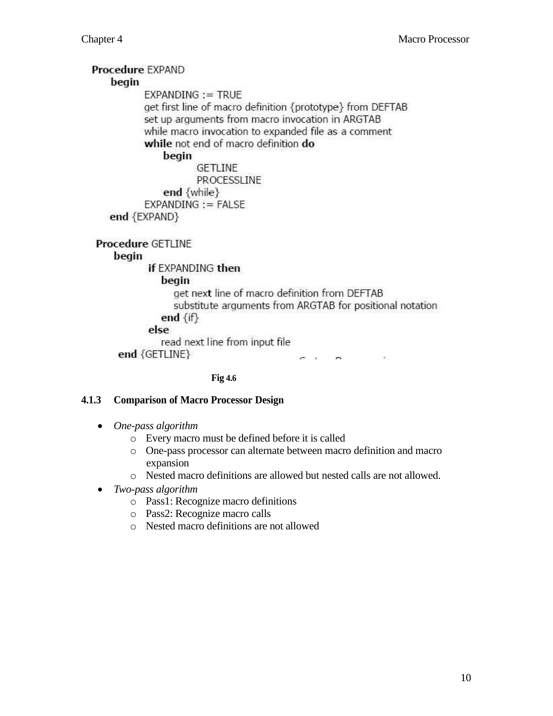# **Procedure EXPAND** begin  $EXPANDING := TRUE$ get first line of macro definition {prototype} from DEFTAB set up arguments from macro invocation in ARGTAB while macro invocation to expanded file as a comment while not end of macro definition do begin **GETLINE PROCESSLINE** end {while}  $EXPANDING := FALSE$ end  $\{EXPAND\}$ **Procedure GETLINE** begin if EXPANDING then begin get next line of macro definition from DEFTAB substitute arguments from ARGTAB for positional notation end  $\{if\}$ else read next line from input file end  ${GETLINE}$ an in  $\sim$

#### **Fig 4.6**

### **4.1.3 Comparison of Macro Processor Design**

- *One-pass algorithm*
	- o Every macro must be defined before it is called
	- o One-pass processor can alternate between macro definition and macro expansion
	- o Nested macro definitions are allowed but nested calls are not allowed.
- *Two-pass algorithm*
	- o Pass1: Recognize macro definitions
	- o Pass2: Recognize macro calls
	- o Nested macro definitions are not allowed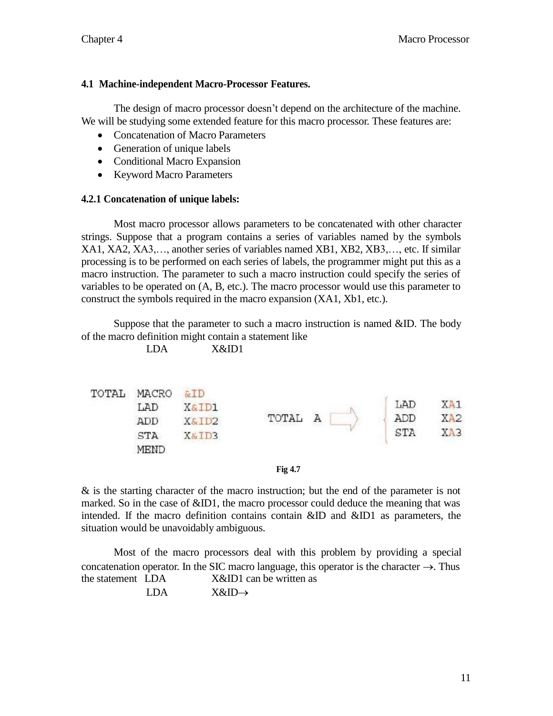## **4.1 Machine-independent Macro-Processor Features.**

The design of macro processor doesn't depend on the architecture of the machine. We will be studying some extended feature for this macro processor. These features are:

- Concatenation of Macro Parameters
- Generation of unique labels
- Conditional Macro Expansion
- Keyword Macro Parameters

## **4.2.1 Concatenation of unique labels:**

Most macro processor allows parameters to be concatenated with other character strings. Suppose that a program contains a series of variables named by the symbols XA1, XA2, XA3,…, another series of variables named XB1, XB2, XB3,…, etc. If similar processing is to be performed on each series of labels, the programmer might put this as a macro instruction. The parameter to such a macro instruction could specify the series of variables to be operated on (A, B, etc.). The macro processor would use this parameter to construct the symbols required in the macro expansion (XA1, Xb1, etc.).

Suppose that the parameter to such a macro instruction is named &ID. The body of the macro definition might contain a statement like

LDA X&ID1

|  | TOTAL MACRO | EFD              |         |     |     |
|--|-------------|------------------|---------|-----|-----|
|  | LAD         | <b>X&amp;TDT</b> |         | LAD | XA1 |
|  | ADD         | X&ID2            | TOTAL A | ADD | XA2 |
|  | <b>STA</b>  | <b>KAID3</b>     |         | STA | XA3 |
|  | <b>MEND</b> |                  |         |     |     |

**Fig 4.7**

& is the starting character of the macro instruction; but the end of the parameter is not marked. So in the case of &ID1, the macro processor could deduce the meaning that was intended. If the macro definition contains contain &ID and &ID1 as parameters, the situation would be unavoidably ambiguous.

Most of the macro processors deal with this problem by providing a special concatenation operator. In the SIC macro language, this operator is the character  $\rightarrow$ . Thus the statement LDA X&ID1 can be written as  $LDA$   $X&ID\rightarrow$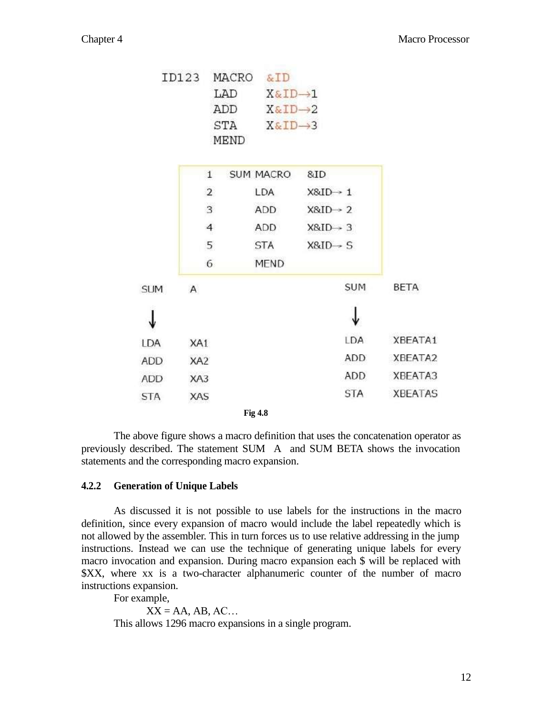|            | ID123           | MACRO       | &ID                 |                      |            |                |
|------------|-----------------|-------------|---------------------|----------------------|------------|----------------|
|            |                 | LAD         | X&ID→1              |                      |            |                |
|            |                 | ADD         | $X&ID\rightarrow 2$ |                      |            |                |
|            |                 | STA<br>MEND | $X&ID\rightarrow 3$ |                      |            |                |
|            | $\mathbf{1}$    |             | <b>SUM MACRO</b>    | 8ID                  |            |                |
|            | $\overline{2}$  |             | LDA                 | X&ID→ 1              |            |                |
|            | $\mathbf{3}$    |             | <b>ADD</b>          | $X&ID \rightarrow 2$ |            |                |
|            | $\overline{4}$  |             | ADD                 | $X&ID \rightarrow 3$ |            |                |
|            | 5               |             | <b>STA</b>          | $X&ID \rightarrow S$ |            |                |
|            | 6               |             | <b>MEND</b>         |                      |            |                |
| <b>SUM</b> | A               |             |                     |                      | <b>SUM</b> | BETA           |
|            |                 |             |                     |                      |            |                |
| LDA        | XA1             |             |                     |                      | LDA        | XBEATA1        |
| <b>ADD</b> | XA <sub>2</sub> |             |                     |                      | ADD.       | XBEATA2        |
| <b>ADD</b> | XA3             |             |                     |                      | ADD        | XBEATA3        |
| <b>STA</b> | XAS             |             |                     |                      | <b>STA</b> | <b>XBEATAS</b> |
|            |                 |             | <b>Fig 4.8</b>      |                      |            |                |

The above figure shows a macro definition that uses the concatenation operator as previously described. The statement SUM A and SUM BETA shows the invocation statements and the corresponding macro expansion.

#### **4.2.2 Generation of Unique Labels**

As discussed it is not possible to use labels for the instructions in the macro definition, since every expansion of macro would include the label repeatedly which is not allowed by the assembler. This in turn forces us to use relative addressing in the jump instructions. Instead we can use the technique of generating unique labels for every macro invocation and expansion. During macro expansion each \$ will be replaced with \$XX, where xx is a two-character alphanumeric counter of the number of macro instructions expansion.

For example,  $XX = AA$ ,  $AB$ ,  $AC...$ This allows 1296 macro expansions in a single program.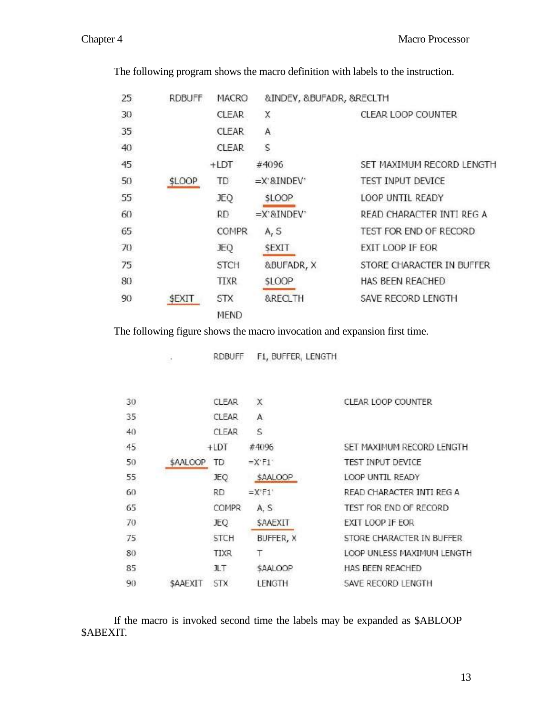| 25 | <b>RDBUFF</b> | MACRO        | &INDEV, &BUFADR, &RECLTH               |                           |
|----|---------------|--------------|----------------------------------------|---------------------------|
| 30 |               | <b>CLEAR</b> | χ                                      | CLEAR LOOP COUNTER        |
| 35 |               | <b>CLEAR</b> | A                                      |                           |
| 40 |               | <b>CLEAR</b> | S                                      |                           |
| 45 |               | $+LDT$       | #4096                                  | SET MAXIMUM RECORD LENGTH |
| 50 | \$LOOP        | TD           | $=X$ & INDEV                           | TEST INPUT DEVICE         |
| 55 |               | <b>JEQ</b>   | <b>SLOOP</b>                           | LOOP UNTIL READY          |
| 60 |               | <b>RD</b>    | $=X$ <sup>2</sup> & INDEV <sup>2</sup> | READ CHARACTER INTI REG A |
| 65 |               | <b>COMPR</b> | A, S                                   | TEST FOR END OF RECORD    |
| 70 |               | <b>JEQ</b>   | <b>SEXIT</b>                           | <b>EXIT LOOP IF EOR</b>   |
| 75 |               | <b>STCH</b>  | &BUFADR, X                             | STORE CHARACTER IN BUFFER |
| 80 |               | <b>TIXR</b>  | <b>SLOOP</b>                           | HAS BEEN REACHED          |
| 90 | \$EXIT        | <b>STX</b>   | &RECLTH                                | SAVE RECORD LENGTH        |
|    |               | <b>MEND</b>  |                                        |                           |
|    |               |              |                                        |                           |

The following program shows the macro definition with labels to the instruction.

The following figure shows the macro invocation and expansion first time.

RDBUFF F1, BUFFER, LENGTH

 $\bar{\omega}$ 

| 30 |                | CLEAR        | X                   | CLEAR LOOP COUNTER         |
|----|----------------|--------------|---------------------|----------------------------|
| 35 |                | CLEAR        | А                   |                            |
| 40 |                | <b>CLEAR</b> | S                   |                            |
| 45 |                | $+LDT$       | #4096               | SET MAXIMUM RECORD LENGTH  |
| 50 | \$AALOOP       | TD           | $=X$ F1             | TEST INPUT DEVICE          |
| 55 |                | <b>JEQ</b>   | <b>SAALOOP</b>      | LOOP UNTIL READY           |
| 60 |                | RD           | $=X$ F <sub>1</sub> | READ CHARACTER INTI REG A  |
| 65 |                | COMPR        | A, S                | TEST FOR END OF RECORD     |
| 70 |                | JEQ          | <b>SAAEXIT</b>      | <b>EXIT LOOP IF EOR</b>    |
| 75 |                | <b>STCH</b>  | BUFFER, X           | STORE CHARACTER IN BUFFER  |
| 80 |                | <b>TIXR</b>  |                     | LOOP UNLESS MAXIMUM LENGTH |
| 85 |                | JLT.         | \$AALOOP            | HAS BEEN REACHED           |
| 90 | <b>SAAEXIT</b> | 5TX          | LENGTH              | SAVE RECORD LENGTH         |

If the macro is invoked second time the labels may be expanded as \$ABLOOP \$ABEXIT.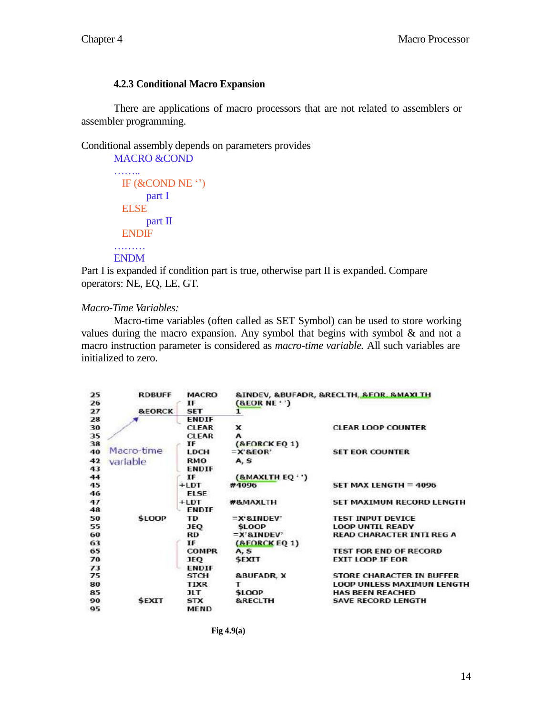## **4.2.3 Conditional Macro Expansion**

There are applications of macro processors that are not related to assemblers or assembler programming.

Conditional assembly depends on parameters provides

```
MACRO &COND
……..
 IF (\& COND NE ")part I
 ELSE
     part II
 ENDIF
………
ENDM
```
Part I is expanded if condition part is true, otherwise part II is expanded. Compare operators: NE, EQ, LE, GT.

*Macro-Time Variables:*

Macro-time variables (often called as SET Symbol) can be used to store working values during the macro expansion. Any symbol that begins with symbol  $\&$  and not a macro instruction parameter is considered as *macro-time variable.* All such variables are initialized to zero.

| 25 | <b>RDBUFF</b>     | <b>MACRO</b> |                          | <b>&amp;INDEV, &amp;BUFADR, &amp;RECLTH, &amp;FOR, &amp;MAXI TH</b> |
|----|-------------------|--------------|--------------------------|---------------------------------------------------------------------|
| 26 |                   | IF           | $(REORNE \cdot )$        |                                                                     |
| 27 | <b>&amp;EORCK</b> | <b>SET</b>   |                          |                                                                     |
| 28 |                   | <b>ENDIF</b> |                          |                                                                     |
| 30 |                   | <b>CLEAR</b> | ×                        | <b>CLEAR LOOP COUNTER</b>                                           |
| 35 |                   | <b>CLEAR</b> | A                        |                                                                     |
| 38 |                   | ΙF           | (RFORCKEQ1)              |                                                                     |
| 40 | Macro-time        | LDCH         | $=X$ <sup>'</sup> &EOR'  | <b>SET EOR COUNTER</b>                                              |
| 42 | variable          | <b>RMO</b>   | A, S                     |                                                                     |
| 43 |                   | <b>ENDIF</b> |                          |                                                                     |
| 44 |                   | IF           | (&MAXLTH EQ · ·)         |                                                                     |
| 45 |                   | $+LDT$       | #4096                    | <b>SET MAX LENGTH = 4096</b>                                        |
| 46 |                   | <b>ELSE</b>  |                          |                                                                     |
| 47 |                   | $+LDT$       | #&MAXLTH                 | <b>SET MAXIMUM RECORD LENGTH</b>                                    |
| 48 |                   | <b>ENDIF</b> |                          |                                                                     |
| 50 | <b>SLOOP</b>      | TD           | $=$ X'&INDEV             | <b>TEST INPUT DEVICE</b>                                            |
| 55 |                   | JEQ          | \$LOOP                   | <b>LOOP UNTIL READY</b>                                             |
| 60 |                   | RD           | $=$ <b>X'&amp;INDEV'</b> | <b>READ CHARACTER INTI REG A</b>                                    |
| 63 |                   | IF           | (RFORCK EQ 1)            |                                                                     |
| 65 |                   | <b>COMPR</b> | A, S                     | <b>TEST FOR END OF RECORD</b>                                       |
| 70 |                   | JEQ          | <b>SEXIT</b>             | <b>EXIT LOOP IF EOR</b>                                             |
| 73 |                   | <b>ENDIF</b> |                          |                                                                     |
| 75 |                   | <b>STCH</b>  | <b>&amp;BUFADR X</b>     | STORE CHARACTER IN BUFFER                                           |
| 80 |                   | <b>TIXR</b>  |                          | <b>LOOP UNLESS MAXIMUN LENGTH</b>                                   |
| 85 |                   | <b>JLT</b>   | \$1.00P                  | <b>HAS BEEN REACHED</b>                                             |
| 90 | <b>SEXIT</b>      | <b>STX</b>   | <b>&amp;RECLTH</b>       | <b>SAVE RECORD LENGTH</b>                                           |
| 95 |                   | <b>MEND</b>  |                          |                                                                     |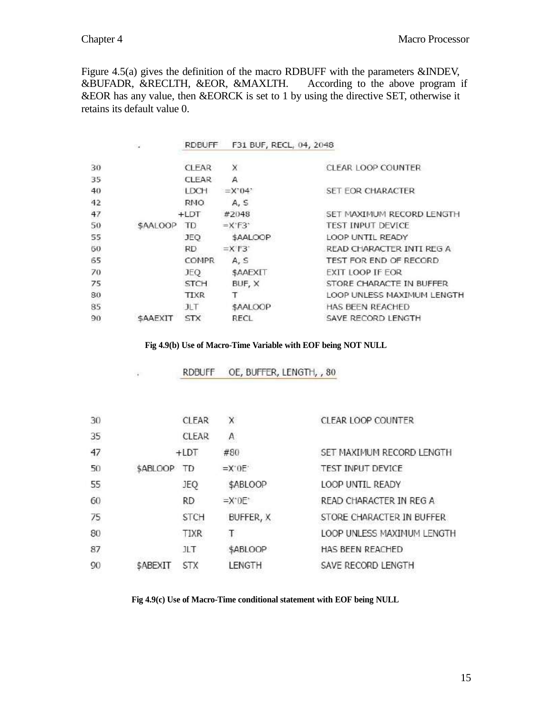Figure 4.5(a) gives the definition of the macro RDBUFF with the parameters &INDEV, &BUFADR, &RECLTH, &EOR, &MAXLTH. According to the above program if &EOR has any value, then &EORCK is set to 1 by using the directive SET, otherwise it retains its default value 0.

|    | $\sim$   | <b>RDBUFF</b> | F31 BUF, RECL, 04, 2048           |                            |
|----|----------|---------------|-----------------------------------|----------------------------|
| 30 |          | <b>CLEAR</b>  | X                                 | CLEAR LOOP COUNTER         |
| 35 |          | <b>CLEAR</b>  | A                                 |                            |
| 40 |          | LDCH          | $=X^0 4'$                         | SET EOR CHARACTER          |
| 42 |          | RMO.          | A, S                              |                            |
| 47 |          | $+LDT$        | #2048                             | SET MAXIMUM RECORD LENGTH  |
| 50 | \$AALOOP | TD            | $=X$ <sup>-</sup> F3 <sup>+</sup> | <b>TEST INPUT DEVICE</b>   |
| 55 |          | JEQ           | \$AALOOP                          | LOOP UNTIL READY           |
| 50 |          | <b>RD</b>     | $=X$ F3                           | READ CHARACTER INTI REG A  |
| 65 |          | <b>COMPR</b>  | A, S                              | TEST FOR END OF RECORD     |
| 70 |          | JEQ           | <b>SAAEXIT</b>                    | EXIT LOOP IF EOR           |
| 75 |          | <b>STCH</b>   | BUF, X                            | STORE CHARACTE IN BUFFER   |
| 80 |          | <b>TIXR</b>   |                                   | LOOP UNLESS MAXIMUM LENGTH |
| 85 |          | JLT           | \$AALOOP                          | HAS BEEN REACHED           |
| 90 | \$AAEXIT | <b>STX</b>    | RECL                              | SAVE RECORD LENGTH         |

**Fig 4.9(b) Use of Macro-Time Variable with EOF being NOT NULL**

|    | ÷.       | RDBUFF       | OE, BUFFER, LENGTH, , 80 |                            |
|----|----------|--------------|--------------------------|----------------------------|
|    |          |              |                          |                            |
| 30 |          | <b>CLEAR</b> | X                        | <b>CLEAR LOOP COUNTER</b>  |
| 35 |          | <b>CLEAR</b> | Α                        |                            |
| 47 |          | $+LDT$       | #80                      | SET MAXIMUM RECORD LENGTH  |
| 50 | \$ABLOOP | TD           | $=X.0E.$                 | TEST INPUT DEVICE          |
| 55 |          | JEQ          | \$ABLOOP                 | LOOP UNTIL READY           |
| 60 |          | RD           | $=X^{\prime}0E^{\prime}$ | READ CHARACTER IN REG A    |
| 75 |          | STCH         | BUFFER, X                | STORE CHARACTER IN BUFFER  |
| 80 |          | TIXR         | Τ                        | LOOP UNLESS MAXIMUM LENGTH |
| 87 |          | JLT.         | \$ABLOOP                 | HAS BEEN REACHED           |
| 90 | \$ABEXIT | STX          | LENGTH                   | SAVE RECORD LENGTH         |

**Fig 4.9(c) Use of Macro-Time conditional statement with EOF being NULL**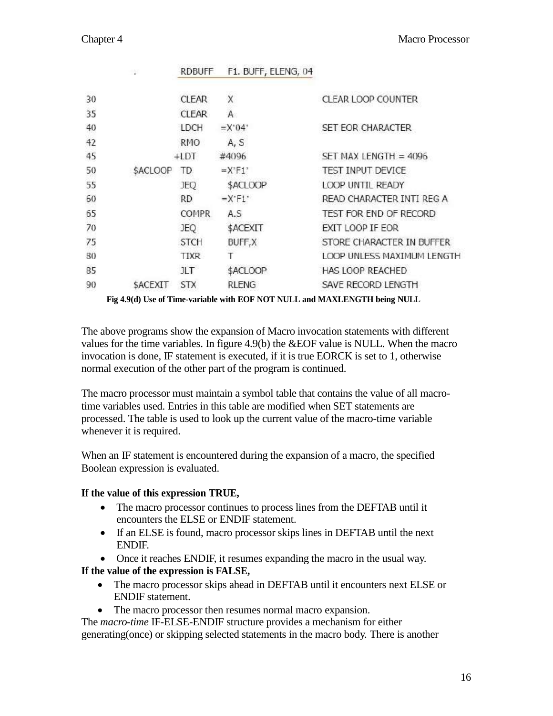|    |                | RDBUFF           | F1. BUFF, ELENG, 04                           |                                                                            |
|----|----------------|------------------|-----------------------------------------------|----------------------------------------------------------------------------|
| 30 |                | <b>CLEAR</b>     | X                                             | <b>CLEAR LOOP COUNTER</b>                                                  |
| 35 |                | <b>CLEAR</b>     | A                                             |                                                                            |
| 40 |                | LDCH             | $= X^0 04$                                    | SET EOR CHARACTER                                                          |
| 42 |                | <b>RMO</b>       | A, S                                          |                                                                            |
| 45 |                | $+LDT$           | #4096                                         | $SET$ MAX LENGTH = 4096                                                    |
| 50 | \$ACLOOP       | TD               | $=X$ F1'                                      | TEST INPUT DEVICE                                                          |
| 55 |                | JEQ              | \$ACLOOP                                      | <b>LOOP UNTIL READY</b>                                                    |
| 60 |                | RD               | $=X$ <sup><math>\cdot</math></sup> F1 $\cdot$ | READ CHARACTER INTI REG A                                                  |
| 65 |                | <b>COMPR</b>     | A.S                                           | TEST FOR END OF RECORD                                                     |
| 70 |                | JEQ              | \$ACEXIT                                      | EXIT LOOP IF EOR                                                           |
| 75 |                | STCH             | BUFF,X                                        | STORE CHARACTER IN BUFFER                                                  |
| 80 |                | <b>TIXR</b>      | Т                                             | LOOP UNLESS MAXIMUM LENGTH                                                 |
| 85 |                | JLT <sup>-</sup> | \$ACLOOP                                      | HAS LOOP REACHED                                                           |
| 90 | <b>SACEXIT</b> | <b>STX</b>       | <b>RLENG</b>                                  | SAVE RECORD LENGTH                                                         |
|    |                |                  |                                               | Fig 4.9(d) Use of Time-variable with EOF NOT NULL and MAXLENGTH being NULL |

The above programs show the expansion of Macro invocation statements with different values for the time variables. In figure 4.9(b) the &EOF value is NULL. When the macro invocation is done, IF statement is executed, if it is true EORCK is set to 1, otherwise normal execution of the other part of the program is continued.

The macro processor must maintain a symbol table that contains the value of all macrotime variables used. Entries in this table are modified when SET statements are processed. The table is used to look up the current value of the macro-time variable whenever it is required.

When an IF statement is encountered during the expansion of a macro, the specified Boolean expression is evaluated.

# **If the value of this expression TRUE,**

- The macro processor continues to process lines from the DEFTAB until it encounters the ELSE or ENDIF statement.
- If an ELSE is found, macro processor skips lines in DEFTAB until the next ENDIF.
- Once it reaches ENDIF, it resumes expanding the macro in the usual way.

# **If the value of the expression is FALSE,**

- The macro processor skips ahead in DEFTAB until it encounters next ELSE or ENDIF statement.
- The macro processor then resumes normal macro expansion.

The *macro-time* IF-ELSE-ENDIF structure provides a mechanism for either generating(once) or skipping selected statements in the macro body. There is another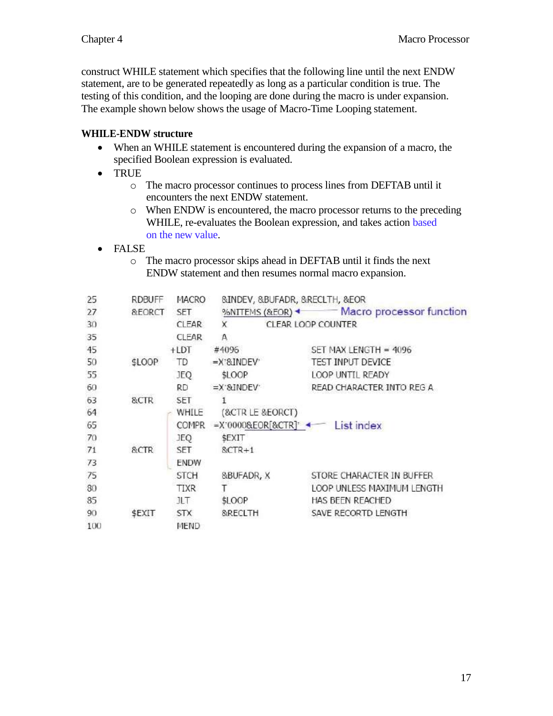construct WHILE statement which specifies that the following line until the next ENDW statement, are to be generated repeatedly as long as a particular condition is true. The testing of this condition, and the looping are done during the macro is under expansion. The example shown below shows the usage of Macro-Time Looping statement.

## **WHILE-ENDW structure**

- When an WHILE statement is encountered during the expansion of a macro, the specified Boolean expression is evaluated.
- TRUE
	- o The macro processor continues to process lines from DEFTAB until it encounters the next ENDW statement.
	- o When ENDW is encountered, the macro processor returns to the preceding WHILE, re-evaluates the Boolean expression, and takes action based on the new value.
- FALSE
	- o The macro processor skips ahead in DEFTAB until it finds the next ENDW statement and then resumes normal macro expansion.

| 25  | RDBUFF | MACRO        |                  | &INDEV, &BUFADR, &RECLTH, &EOR              |
|-----|--------|--------------|------------------|---------------------------------------------|
| 27  | &EORCT | <b>SET</b>   |                  | %NITEMS (&EOR) < Macro processor function   |
| 30  |        | <b>CLEAR</b> | x                | CLEAR LOOP COUNTER                          |
| 35  |        | <b>CLEAR</b> | Α                |                                             |
| 45  |        | $+LDT$       | #4096            | SET MAX LENGTH = 4096                       |
| 50  | \$LOOP | TD           | $=X$ & INDEV     | TEST INPUT DEVICE                           |
| 55  |        | JEQ          | \$LOOP           | LOOP UNTIL READY                            |
| 60  |        | RD           | $=X$ & INDEV     | READ CHARACTER INTO REG A                   |
| 63  | &CTR   | <b>SET</b>   | 1                |                                             |
| 64  |        | WHILE        | (&CTR LE &EORCT) |                                             |
| 65  |        | COMPR        |                  | $=X'00008EOR[8CTR]$ $\leftarrow$ List index |
| 70  |        | JEQ          | \$EXIT           |                                             |
| 71  | &CTR   | <b>SET</b>   | $RCTR+1$         |                                             |
| 73  |        | <b>ENDW</b>  |                  |                                             |
| 75  |        | <b>STCH</b>  | &BUFADR, X       | STORE CHARACTER IN BUFFER                   |
| 80  |        | TIXR         |                  | LOOP UNLESS MAXIMUM LENGTH                  |
| 85  |        | JLT.         | \$LOOP           | HAS BEEN REACHED                            |
| 90  | \$EXIT | <b>STX</b>   | 8 RECLTH         | SAVE RECORTD LENGTH                         |
| 100 |        | MEND         |                  |                                             |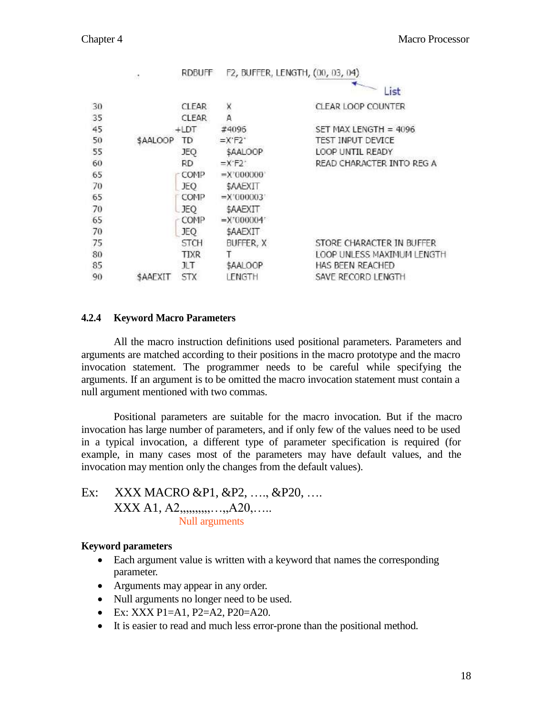|    | Ø.             | RDBUFF       | F2, BUFFER, LENGTH, (00, 03, 04)    |                            |
|----|----------------|--------------|-------------------------------------|----------------------------|
|    |                |              |                                     | List                       |
| 30 |                | <b>CLEAR</b> | ×                                   | <b>CLEAR LOOP COUNTER</b>  |
| 35 |                | <b>CLEAR</b> | Α                                   |                            |
| 45 |                | $+LDT$       | #4096                               | SET MAX LENGTH = $4096$    |
| 50 | <b>SAALOOP</b> | TD           | $=X$ <sup>-</sup> $F2$ <sup>-</sup> | TEST INPUT DEVICE          |
| 55 |                | JEQ          | \$AALOOP                            | LOOP UNTIL READY           |
| 60 |                | RD           | $=X$ F <sub>2</sub>                 | READ CHARACTER INTO REG A  |
| 65 |                | COMP         | $=X'000000'$                        |                            |
| 70 |                | <b>JEO</b>   | \$AAEXIT                            |                            |
| 65 |                | COMP         | $=X'000003'$                        |                            |
| 70 |                | JEO          | \$AAEXIT                            |                            |
| 65 |                | COMP         | $=$ X'000004                        |                            |
| 70 |                | JEQ.         | \$AAEXIT                            |                            |
| 75 |                | <b>STCH</b>  | BUFFER, X                           | STORE CHARACTER IN BUFFER  |
| 80 |                | TIXR         | т                                   | LOOP UNLESS MAXIMUM LENGTH |
| 85 |                | JL T         | \$AALOOP                            | HAS BEEN REACHED           |
| 90 | <b>SAAEXIT</b> | <b>STX</b>   | LENGTH                              | SAVE RECORD LENGTH         |

#### **4.2.4 Keyword Macro Parameters**

All the macro instruction definitions used positional parameters. Parameters and arguments are matched according to their positions in the macro prototype and the macro invocation statement. The programmer needs to be careful while specifying the arguments. If an argument is to be omitted the macro invocation statement must contain a null argument mentioned with two commas.

Positional parameters are suitable for the macro invocation. But if the macro invocation has large number of parameters, and if only few of the values need to be used in a typical invocation, a different type of parameter specification is required (for example, in many cases most of the parameters may have default values, and the invocation may mention only the changes from the default values).

# Ex: XXX MACRO &P1, &P2, …., &P20, …. XXX A1, A2,,,,,,,,,,,,,,,,,,,,,,,,,, Null arguments

#### **Keyword parameters**

- Each argument value is written with a keyword that names the corresponding parameter.
- Arguments may appear in any order.
- Null arguments no longer need to be used.
- $\bullet$  Ex: XXX P1=A1, P2=A2, P20=A20.
- It is easier to read and much less error-prone than the positional method.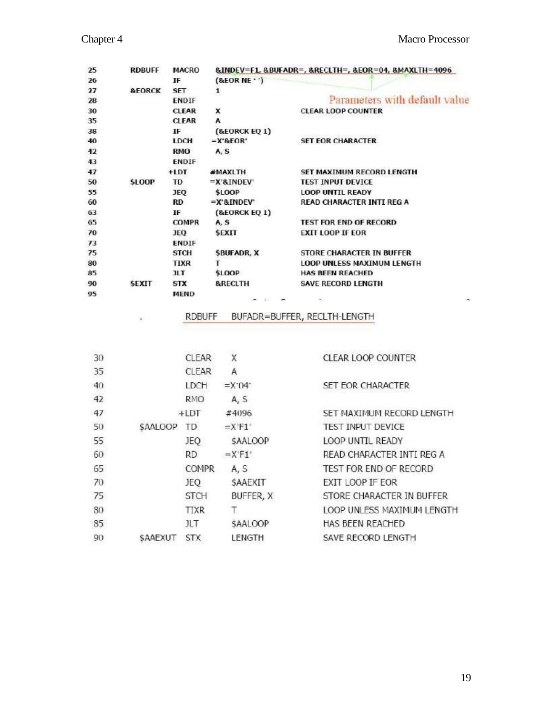$\mathbf{y}_{\rm{in}}$ 

| 25 | <b>RDBUFF</b>     | MACRO        |                               | &INDEV=F1, &BUFADR=, &RECLTH=, &EOR=04, &MAXLTH=4096 |
|----|-------------------|--------------|-------------------------------|------------------------------------------------------|
| 26 |                   | IF           | $($ &EOR NE $\cdot$ ')        |                                                      |
| 27 | <b>&amp;EORCK</b> | <b>SET</b>   | 1                             |                                                      |
| 28 |                   | <b>ENDIF</b> |                               | Parameters with default value                        |
| 30 |                   | <b>CLEAR</b> | x                             | <b>CLEAR LOOP COUNTER</b>                            |
| 35 |                   | <b>CLEAR</b> | A                             |                                                      |
| 38 |                   | HF.          | (&EORCK EQ 1)                 |                                                      |
| 40 |                   | <b>LDCH</b>  | $=X'SEOR'$                    | <b>SET FOR CHARACTER</b>                             |
| 42 |                   | RMO          | A, S                          |                                                      |
| 43 |                   | <b>ENDIF</b> |                               |                                                      |
| 47 |                   | $+LDT$       | #MAXLTH                       | SET MAXIMUM RECORD LENGTH                            |
| 50 | <b>SLOOP</b>      | TD           | $=X$ '&INDEV'                 | <b>TEST INPUT DEVICE</b>                             |
| 55 |                   | JEQ          | \$LOOP                        | <b>LOOP UNTIL READY</b>                              |
| 60 |                   | RD           | $=X$ <sup>3</sup> $R$ INDEV   | READ CHARACTER INTI REG A                            |
| 63 |                   | ŦF           | (&EORCK EQ 1)                 |                                                      |
| 65 |                   | COMPR        | A, S                          | <b>TEST FOR END OF RECORD</b>                        |
| 70 |                   | JEQ          | <b>SEXIT</b>                  | <b>EXIT LOOP IF EOR</b>                              |
| 73 |                   | <b>ENDIF</b> |                               |                                                      |
| 75 |                   | <b>STCH</b>  | <b>SBUFADR, X</b>             | STORE CHARACTER IN BUFFER                            |
| 80 |                   | <b>TIXR</b>  |                               | <b>LOOP UNLESS MAXIMUM LENGTH</b>                    |
| 85 |                   | JLT.         | \$LOOP                        | <b>HAS BEEN REACHED</b>                              |
| 90 | <b>SEXIT</b>      | <b>STX</b>   | <b>&amp;RECLTH</b>            | <b>SAVE RECORD LENGTH</b>                            |
| 95 |                   | MEND         | $-1$<br>$\tilde{\phantom{a}}$ | ×6<br>in.                                            |

# RDBUFF BUFADR=BUFFER, RECLTH-LENGTH

| 30 |                 | <b>CLEAR</b> | Χ                | <b>CLEAR LOOP COUNTER</b>  |
|----|-----------------|--------------|------------------|----------------------------|
| 35 |                 | <b>CLEAR</b> | A                |                            |
| 40 |                 | LDCH         | $=X^0 04$        | SET FOR CHARACTER          |
| 42 |                 | RMO          | A, S             |                            |
| 47 |                 | $+LDT$       | #4096            | SET MAXIMUM RECORD LENGTH  |
| 50 | <b>\$AALOOP</b> | TD.          | $=X$ F1          | TEST INPUT DEVICE          |
| 55 |                 | JEQ          | <b>SAALOOP</b>   | LOOP UNTIL READY           |
| 60 |                 | RD.          | $=X$ F1          | READ CHARACTER INTI REG A  |
| 65 |                 | <b>COMPR</b> | A, S             | TEST FOR END OF RECORD     |
| 70 |                 | JEO          | <b>SAAEXIT</b>   | EXIT LOOP IF EOR           |
| 75 |                 | STCH         | <b>BUFFER, X</b> | STORE CHARACTER IN BUFFER  |
| 80 |                 | TIXR         |                  | LOOP UNLESS MAXIMUM LENGTH |
| 85 |                 | JLT          | \$AALOOP         | HAS BEEN REACHED           |
| 90 | <b>SAAEXUT</b>  | <b>STX</b>   | LENGTH           | SAVE RECORD LENGTH         |
|    |                 |              |                  |                            |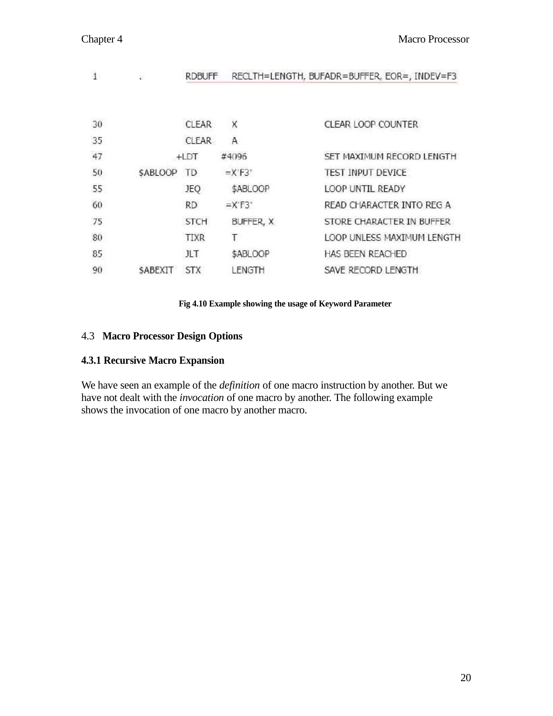| $\overline{1}$ | 影              | <b>RDBUFF</b> |                                     | RECLTH=LENGTH, BUFADR=BUFFER, EOR=, INDEV=F3 |
|----------------|----------------|---------------|-------------------------------------|----------------------------------------------|
| 30             |                | <b>CLEAR</b>  | X                                   | CLEAR LOOP COUNTER                           |
| 35             |                | <b>CLEAR</b>  | A                                   |                                              |
| 47             |                | $+LDT$        | #4096                               | SET MAXIMUM RECORD LENGTH                    |
| 50             | <b>SABLOOP</b> | TD.           | $=X$ F3                             | TEST INPUT DEVICE                            |
| 55             |                | JEO           | \$ABLOOP                            | LOOP UNTIL READY                             |
| 60             |                | <b>RD</b>     | $=X$ <sup>+</sup> $F3$ <sup>+</sup> | READ CHARACTER INTO REG A                    |
| 75             |                | <b>STCH</b>   | BUFFER, X                           | STORE CHARACTER IN BUFFER                    |
| 80             |                | <b>TIXR</b>   | Т                                   | LOOP UNLESS MAXIMUM LENGTH                   |
| 85             |                | JLT           | \$ABLOOP                            | <b>HAS BEEN REACHED</b>                      |
| 90             | <b>SABEXIT</b> | <b>STX</b>    | LENGTH                              | SAVE RECORD LENGTH                           |

#### **Fig 4.10 Example showing the usage of Keyword Parameter**

# 4.3 **Macro Processor Design Options**

# **4.3.1 Recursive Macro Expansion**

We have seen an example of the *definition* of one macro instruction by another. But we have not dealt with the *invocation* of one macro by another. The following example shows the invocation of one macro by another macro.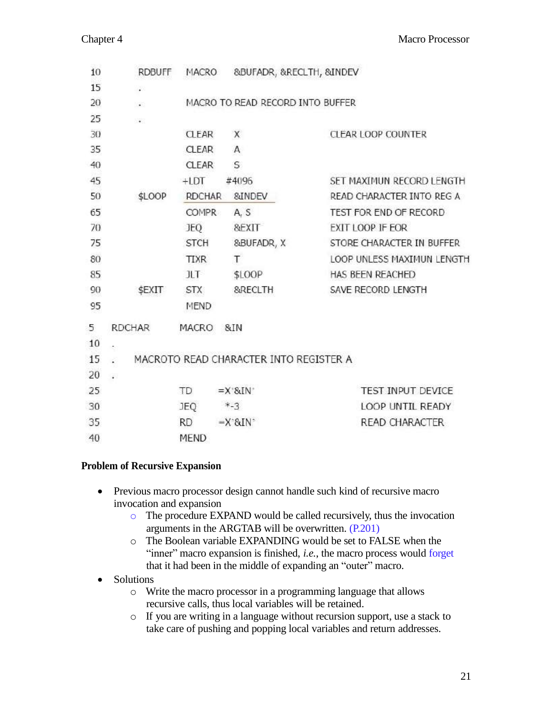| 10 | <b>RDBUFF</b> | MACRO         | &BUFADR, &RECLTH, &INDEV               |                            |
|----|---------------|---------------|----------------------------------------|----------------------------|
| 15 | $\sim$        |               |                                        |                            |
| 20 | $\sim$        |               | MACRO TO READ RECORD INTO BUFFER       |                            |
| 25 | $\bullet$     |               |                                        |                            |
| 30 |               | <b>CLEAR</b>  | X                                      | <b>CLEAR LOOP COUNTER</b>  |
| 35 |               | <b>CLEAR</b>  | Α                                      |                            |
| 40 |               | <b>CLEAR</b>  | S                                      |                            |
| 45 |               | $+LDT$        | #4096                                  | SET MAXIMUN RECORD LENGTH  |
| 50 | \$LOOP        | <b>RDCHAR</b> | &INDEV                                 | READ CHARACTER INTO REG A  |
| 65 |               | <b>COMPR</b>  | A, S                                   | TEST FOR END OF RECORD     |
| 70 |               | JEO           | &EXIT                                  | EXIT LOOP IF EOR           |
| 75 |               | <b>STCH</b>   | &BUFADR, X                             | STORE CHARACTER IN BUFFER  |
| 80 |               | <b>TIXR</b>   | T                                      | LOOP UNLESS MAXIMUN LENGTH |
| 85 |               | JLT.          | \$LOOP                                 | HAS BEEN REACHED           |
| 90 | \$EXIT        | <b>STX</b>    | &RECLTH                                | SAVE RECORD LENGTH         |
| 95 |               | <b>MEND</b>   |                                        |                            |
| 5  | <b>RDCHAR</b> | MACRO         | &IN                                    |                            |
| 10 |               |               |                                        |                            |
| 15 | ż.            |               | MACROTO READ CHARACTER INTO REGISTER A |                            |
| 20 |               |               |                                        |                            |
| 25 |               | TD.           | $=X^8kIN^8$                            | <b>TEST INPUT DEVICE</b>   |
| 30 |               | JEO           | $*.3$                                  | LOOP UNTIL READY           |
| 35 |               | <b>RD</b>     | $=X$ &IN                               | READ CHARACTER             |
| 40 |               | <b>MEND</b>   |                                        |                            |

#### **Problem of Recursive Expansion**

- Previous macro processor design cannot handle such kind of recursive macro invocation and expansion
	- o The procedure EXPAND would be called recursively, thus the invocation arguments in the ARGTAB will be overwritten. (P.201)
	- o The Boolean variable EXPANDING would be set to FALSE when the "inner" macro expansion is finished, *i.e.*, the macro process would forget that it had been in the middle of expanding an "outer" macro.
- Solutions
	- o Write the macro processor in a programming language that allows recursive calls, thus local variables will be retained.
	- o If you are writing in a language without recursion support, use a stack to take care of pushing and popping local variables and return addresses.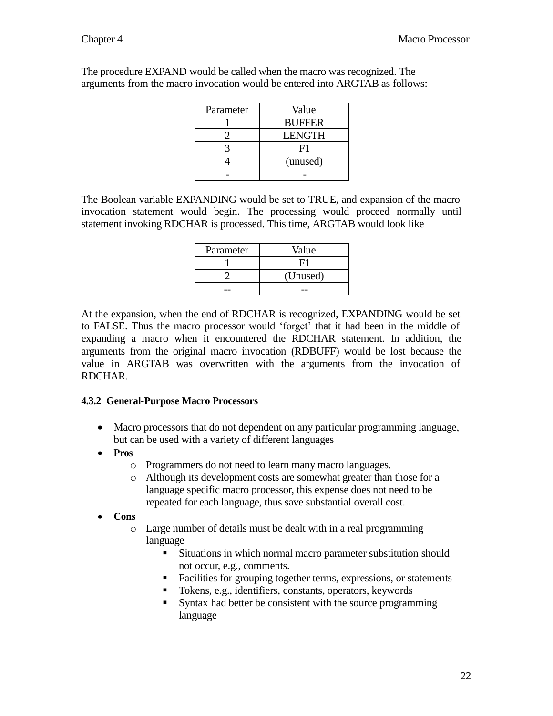The procedure EXPAND would be called when the macro was recognized. The arguments from the macro invocation would be entered into ARGTAB as follows:

| Parameter | Value         |
|-----------|---------------|
|           | <b>BUFFER</b> |
|           | <b>LENGTH</b> |
|           | F1            |
|           | (unused)      |
|           |               |

The Boolean variable EXPANDING would be set to TRUE, and expansion of the macro invocation statement would begin. The processing would proceed normally until statement invoking RDCHAR is processed. This time, ARGTAB would look like

| Parameter | Value    |
|-----------|----------|
|           | F.       |
|           | (Unused) |
|           |          |

At the expansion, when the end of RDCHAR is recognized, EXPANDING would be set to FALSE. Thus the macro processor would "forget" that it had been in the middle of expanding a macro when it encountered the RDCHAR statement. In addition, the arguments from the original macro invocation (RDBUFF) would be lost because the value in ARGTAB was overwritten with the arguments from the invocation of RDCHAR.

### **4.3.2 General-Purpose Macro Processors**

- Macro processors that do not dependent on any particular programming language, but can be used with a variety of different languages
- **Pros**
	- o Programmers do not need to learn many macro languages.
	- o Although its development costs are somewhat greater than those for a language specific macro processor, this expense does not need to be repeated for each language, thus save substantial overall cost.
- **Cons**
	- o Large number of details must be dealt with in a real programming language
		- **Situations in which normal macro parameter substitution should** not occur, e.g., comments.
		- Facilities for grouping together terms, expressions, or statements
		- Tokens, e.g., identifiers, constants, operators, keywords
		- Syntax had better be consistent with the source programming language